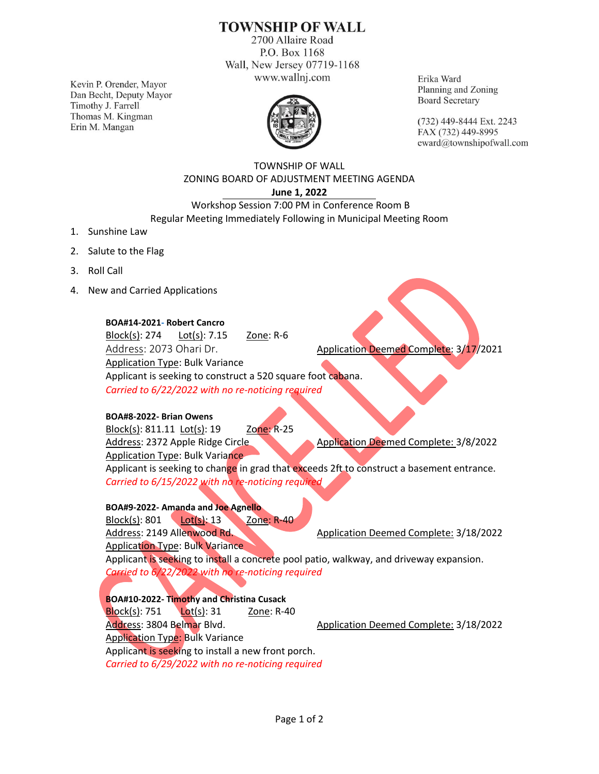# **TOWNSHIP OF WALL**

2700 Allaire Road P.O. Box 1168 Wall, New Jersey 07719-1168 www.wallnj.com

Kevin P. Orender, Mayor Dan Becht, Deputy Mayor Timothy J. Farrell Thomas M. Kingman Erin M. Mangan



Erika Ward Planning and Zoning **Board Secretary** 

(732) 449-8444 Ext. 2243 FAX (732) 449-8995 eward@townshipofwall.com

TOWNSHIP OF WALL ZONING BOARD OF ADJUSTMENT MEETING AGENDA **June 1, 2022**

Workshop Session 7:00 PM in Conference Room B Regular Meeting Immediately Following in Municipal Meeting Room

- 1. Sunshine Law
- 2. Salute to the Flag
- 3. Roll Call
- 4. New and Carried Applications

### **BOA#14-2021- Robert Cancro**

Block(s): 274 Lot(s): 7.15 Zone: R-6 Address: 2073 Ohari Dr. **Application Deemed Complete: 3/17/2021** Application Type: Bulk Variance Applicant is seeking to construct a 520 square foot cabana. *Carried to 6/22/2022 with no re-noticing required*

### **BOA#8-2022- Brian Owens**

Block(s): 811.11 Lot(s): 19 Zone: R-25 Address: 2372 Apple Ridge Circle Application Deemed Complete: 3/8/2022 Application Type: Bulk Variance Applicant is seeking to change in grad that exceeds 2ft to construct a basement entrance. *Carried to 6/15/2022 with no re-noticing required*

**BOA#9-2022- Amanda and Joe Agnello** Block(s): 801 Lot(s): 13 Zone: R-40 Address: 2149 Allenwood Rd. Application Deemed Complete: 3/18/2022 Application Type: Bulk Variance

Applicant is seeking to install a concrete pool patio, walkway, and driveway expansion. *Carried to 6/22/2022 with no re-noticing required*

**BOA#10-2022- Timothy and Christina Cusack** Block(s): 751 Lot(s): 31 Zone: R-40 Address: 3804 Belmar Blvd. Application Deemed Complete: 3/18/2022 Application Type: Bulk Variance Applicant is seeking to install a new front porch. *Carried to 6/29/2022 with no re-noticing required*